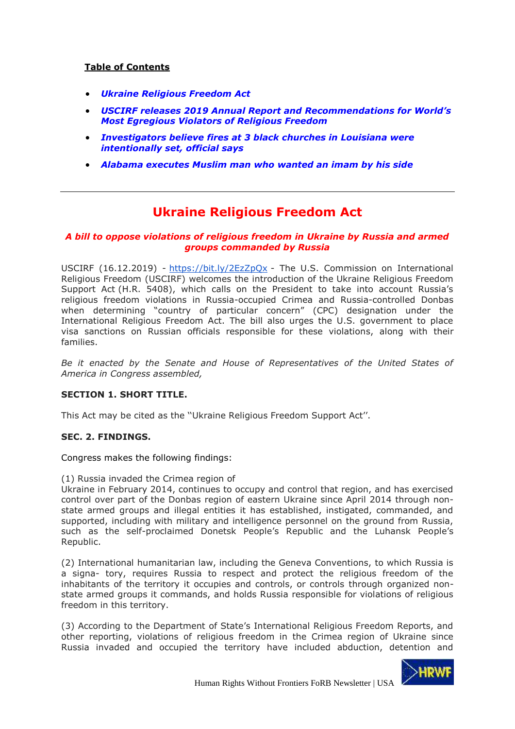## **Table of Contents**

- *[Ukraine Religious Freedom Act](#page-0-0)*
- *[USCIRF releases 2019 Annual Report and Recommendations for World's](#page-2-0)  [Most Egregious Violators of Religious Freedom](#page-2-0)*
- *[Investigators believe fires at 3 black churches in Louisiana were](#page-3-0)  [intentionally set, official says](#page-3-0)*
- *[Alabama executes Muslim man who wanted an imam by his side](#page-5-0)*

# **Ukraine Religious Freedom Act**

### <span id="page-0-0"></span>*A bill to oppose violations of religious freedom in Ukraine by Russia and armed groups commanded by Russia*

USCIRF (16.12.2019) - <https://bit.ly/2EzZpQx> - The U.S. Commission on International Religious Freedom (USCIRF) welcomes the introduction of the Ukraine Religious Freedom Support Act (H.R. 5408), which calls on the President to take into account Russia's religious freedom violations in Russia-occupied Crimea and Russia-controlled Donbas when determining "country of particular concern" (CPC) designation under the International Religious Freedom Act. The bill also urges the U.S. government to place visa sanctions on Russian officials responsible for these violations, along with their families.

*Be it enacted by the Senate and House of Representatives of the United States of America in Congress assembled,*

#### **SECTION 1. SHORT TITLE.**

This Act may be cited as the ''Ukraine Religious Freedom Support Act''.

#### **SEC. 2. FINDINGS.**

Congress makes the following findings:

(1) Russia invaded the Crimea region of

Ukraine in February 2014, continues to occupy and control that region, and has exercised control over part of the Donbas region of eastern Ukraine since April 2014 through nonstate armed groups and illegal entities it has established, instigated, commanded, and supported, including with military and intelligence personnel on the ground from Russia, such as the self-proclaimed Donetsk People's Republic and the Luhansk People's Republic.

(2) International humanitarian law, including the Geneva Conventions, to which Russia is a signa- tory, requires Russia to respect and protect the religious freedom of the inhabitants of the territory it occupies and controls, or controls through organized nonstate armed groups it commands, and holds Russia responsible for violations of religious freedom in this territory.

(3) According to the Department of State's International Religious Freedom Reports, and other reporting, violations of religious freedom in the Crimea region of Ukraine since Russia invaded and occupied the territory have included abduction, detention and

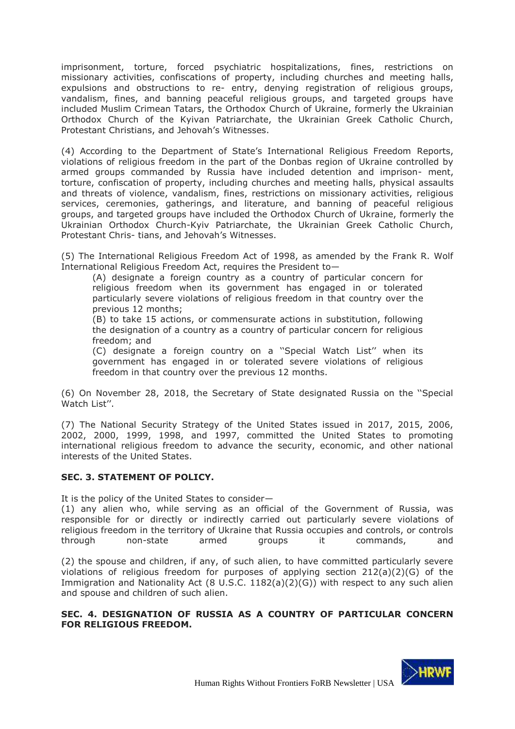imprisonment, torture, forced psychiatric hospitalizations, fines, restrictions on missionary activities, confiscations of property, including churches and meeting halls, expulsions and obstructions to re- entry, denying registration of religious groups, vandalism, fines, and banning peaceful religious groups, and targeted groups have included Muslim Crimean Tatars, the Orthodox Church of Ukraine, formerly the Ukrainian Orthodox Church of the Kyivan Patriarchate, the Ukrainian Greek Catholic Church, Protestant Christians, and Jehovah's Witnesses.

(4) According to the Department of State's International Religious Freedom Reports, violations of religious freedom in the part of the Donbas region of Ukraine controlled by armed groups commanded by Russia have included detention and imprison- ment, torture, confiscation of property, including churches and meeting halls, physical assaults and threats of violence, vandalism, fines, restrictions on missionary activities, religious services, ceremonies, gatherings, and literature, and banning of peaceful religious groups, and targeted groups have included the Orthodox Church of Ukraine, formerly the Ukrainian Orthodox Church-Kyiv Patriarchate, the Ukrainian Greek Catholic Church, Protestant Chris- tians, and Jehovah's Witnesses.

(5) The International Religious Freedom Act of 1998, as amended by the Frank R. Wolf International Religious Freedom Act, requires the President to—

(A) designate a foreign country as a country of particular concern for religious freedom when its government has engaged in or tolerated particularly severe violations of religious freedom in that country over the previous 12 months;

(B) to take 15 actions, or commensurate actions in substitution, following the designation of a country as a country of particular concern for religious freedom; and

(C) designate a foreign country on a ''Special Watch List'' when its government has engaged in or tolerated severe violations of religious freedom in that country over the previous 12 months.

(6) On November 28, 2018, the Secretary of State designated Russia on the ''Special Watch List''.

(7) The National Security Strategy of the United States issued in 2017, 2015, 2006, 2002, 2000, 1999, 1998, and 1997, committed the United States to promoting international religious freedom to advance the security, economic, and other national interests of the United States.

## **SEC. 3. STATEMENT OF POLICY.**

It is the policy of the United States to consider—

(1) any alien who, while serving as an official of the Government of Russia, was responsible for or directly or indirectly carried out particularly severe violations of religious freedom in the territory of Ukraine that Russia occupies and controls, or controls through non-state armed groups it commands, and

(2) the spouse and children, if any, of such alien, to have committed particularly severe violations of religious freedom for purposes of applying section  $212(a)(2)(G)$  of the Immigration and Nationality Act (8 U.S.C. 1182(a)(2)(G)) with respect to any such alien and spouse and children of such alien.

### **SEC. 4. DESIGNATION OF RUSSIA AS A COUNTRY OF PARTICULAR CONCERN FOR RELIGIOUS FREEDOM.**

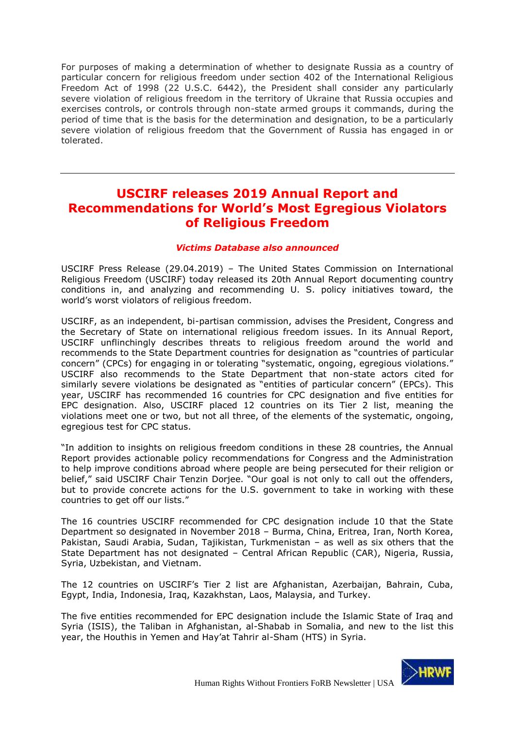For purposes of making a determination of whether to designate Russia as a country of particular concern for religious freedom under section 402 of the International Religious Freedom Act of 1998 (22 U.S.C. 6442), the President shall consider any particularly severe violation of religious freedom in the territory of Ukraine that Russia occupies and exercises controls, or controls through non-state armed groups it commands, during the period of time that is the basis for the determination and designation, to be a particularly severe violation of religious freedom that the Government of Russia has engaged in or tolerated.

# <span id="page-2-0"></span>**USCIRF releases 2019 Annual Report and Recommendations for World's Most Egregious Violators of Religious Freedom**

### *Victims Database also announced*

USCIRF Press Release (29.04.2019) – The United States Commission on International Religious Freedom (USCIRF) today released its 20th Annual Report documenting country conditions in, and analyzing and recommending U. S. policy initiatives toward, the world's worst violators of religious freedom.

USCIRF, as an independent, bi-partisan commission, advises the President, Congress and the Secretary of State on international religious freedom issues. In its Annual Report, USCIRF unflinchingly describes threats to religious freedom around the world and recommends to the State Department countries for designation as "countries of particular concern" (CPCs) for engaging in or tolerating "systematic, ongoing, egregious violations." USCIRF also recommends to the State Department that non-state actors cited for similarly severe violations be designated as "entities of particular concern" (EPCs). This year, USCIRF has recommended 16 countries for CPC designation and five entities for EPC designation. Also, USCIRF placed 12 countries on its Tier 2 list, meaning the violations meet one or two, but not all three, of the elements of the systematic, ongoing, egregious test for CPC status.

"In addition to insights on religious freedom conditions in these 28 countries, the Annual Report provides actionable policy recommendations for Congress and the Administration to help improve conditions abroad where people are being persecuted for their religion or belief," said USCIRF Chair Tenzin Dorjee. "Our goal is not only to call out the offenders, but to provide concrete actions for the U.S. government to take in working with these countries to get off our lists."

The 16 countries USCIRF recommended for CPC designation include 10 that the State Department so designated in November 2018 – Burma, China, Eritrea, Iran, North Korea, Pakistan, Saudi Arabia, Sudan, Tajikistan, Turkmenistan – as well as six others that the State Department has not designated – Central African Republic (CAR), Nigeria, Russia, Syria, Uzbekistan, and Vietnam.

The 12 countries on USCIRF's Tier 2 list are Afghanistan, Azerbaijan, Bahrain, Cuba, Egypt, India, Indonesia, Iraq, Kazakhstan, Laos, Malaysia, and Turkey.

The five entities recommended for EPC designation include the Islamic State of Iraq and Syria (ISIS), the Taliban in Afghanistan, al-Shabab in Somalia, and new to the list this year, the Houthis in Yemen and Hay'at Tahrir al-Sham (HTS) in Syria.

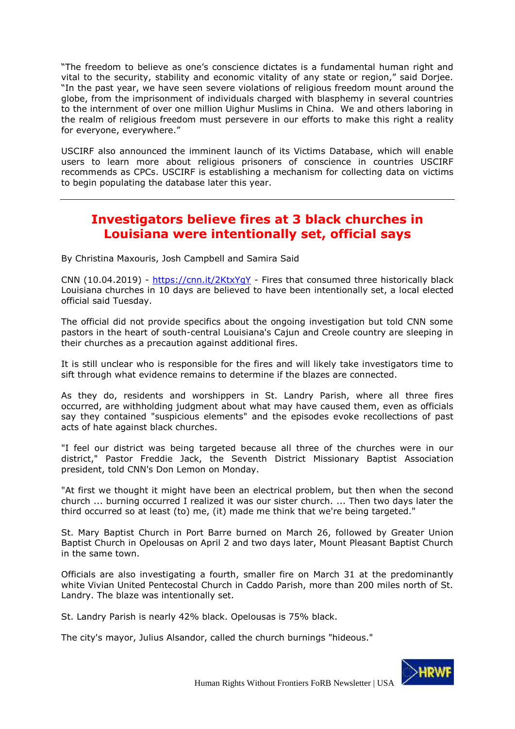"The freedom to believe as one's conscience dictates is a fundamental human right and vital to the security, stability and economic vitality of any state or region," said Dorjee. "In the past year, we have seen severe violations of religious freedom mount around the globe, from the imprisonment of individuals charged with blasphemy in several countries to the internment of over one million Uighur Muslims in China. We and others laboring in the realm of religious freedom must persevere in our efforts to make this right a reality for everyone, everywhere."

USCIRF also announced the imminent launch of its Victims Database, which will enable users to learn more about religious prisoners of conscience in countries USCIRF recommends as CPCs. USCIRF is establishing a mechanism for collecting data on victims to begin populating the database later this year.

## <span id="page-3-0"></span>**Investigators believe fires at 3 black churches in Louisiana were intentionally set, official says**

By Christina Maxouris, Josh Campbell and Samira Said

CNN (10.04.2019) - <https://cnn.it/2KtxYgY> - Fires that consumed three historically black Louisiana churches in 10 days are believed to have been intentionally set, a local elected official said Tuesday.

The official did not provide specifics about the ongoing investigation but told CNN some pastors in the heart of south-central Louisiana's Cajun and Creole country are sleeping in their churches as a precaution against additional fires.

It is still unclear who is responsible for the fires and will likely take investigators time to sift through what evidence remains to determine if the blazes are connected.

As they do, residents and worshippers in St. Landry Parish, where all three fires occurred, are withholding judgment about what may have caused them, even as officials say they contained "suspicious elements" and the episodes evoke recollections of past acts of hate against black churches.

"I feel our district was being targeted because all three of the churches were in our district," Pastor Freddie Jack, the Seventh District Missionary Baptist Association president, told CNN's Don Lemon on Monday.

"At first we thought it might have been an electrical problem, but then when the second church ... burning occurred I realized it was our sister church. ... Then two days later the third occurred so at least (to) me, (it) made me think that we're being targeted."

St. Mary Baptist Church in Port Barre burned on March 26, followed by Greater Union Baptist Church in Opelousas on April 2 and two days later, Mount Pleasant Baptist Church in the same town.

Officials are also investigating a fourth, smaller fire on March 31 at the predominantly white Vivian United Pentecostal Church in Caddo Parish, more than 200 miles north of St. Landry. The blaze was intentionally set.

St. Landry Parish is nearly 42% black. Opelousas is 75% black.

The city's mayor, Julius Alsandor, called the church burnings "hideous."

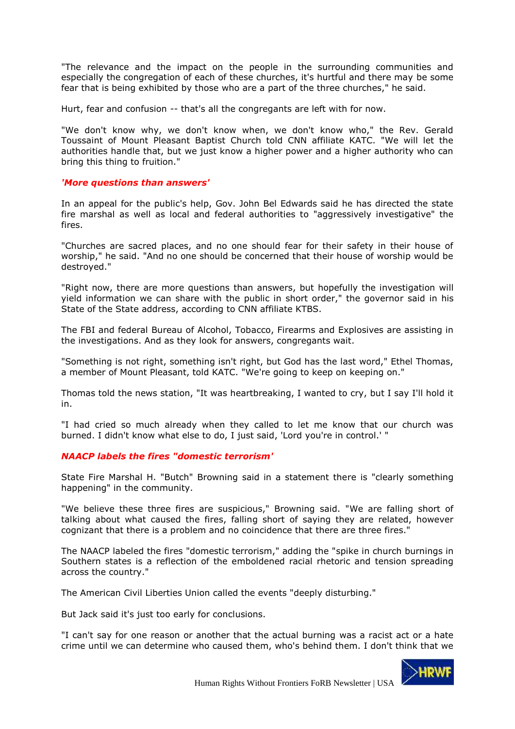"The relevance and the impact on the people in the surrounding communities and especially the congregation of each of these churches, it's hurtful and there may be some fear that is being exhibited by those who are a part of the three churches," he said.

Hurt, fear and confusion -- that's all the congregants are left with for now.

"We don't know why, we don't know when, we don't know who," the Rev. Gerald Toussaint of Mount Pleasant Baptist Church told CNN affiliate KATC. "We will let the authorities handle that, but we just know a higher power and a higher authority who can bring this thing to fruition."

#### *'More questions than answers'*

In an appeal for the public's help, Gov. John Bel Edwards said he has directed the state fire marshal as well as local and federal authorities to "aggressively investigative" the fires.

"Churches are sacred places, and no one should fear for their safety in their house of worship," he said. "And no one should be concerned that their house of worship would be destroyed."

"Right now, there are more questions than answers, but hopefully the investigation will yield information we can share with the public in short order," the governor said in his State of the State address, according to CNN affiliate KTBS.

The FBI and federal Bureau of Alcohol, Tobacco, Firearms and Explosives are assisting in the investigations. And as they look for answers, congregants wait.

"Something is not right, something isn't right, but God has the last word," Ethel Thomas, a member of Mount Pleasant, told KATC. "We're going to keep on keeping on."

Thomas told the news station, "It was heartbreaking, I wanted to cry, but I say I'll hold it in.

"I had cried so much already when they called to let me know that our church was burned. I didn't know what else to do, I just said, 'Lord you're in control.' "

## *NAACP labels the fires "domestic terrorism'*

State Fire Marshal H. "Butch" Browning said in a statement there is "clearly something happening" in the community.

"We believe these three fires are suspicious," Browning said. "We are falling short of talking about what caused the fires, falling short of saying they are related, however cognizant that there is a problem and no coincidence that there are three fires."

The NAACP labeled the fires "domestic terrorism," adding the "spike in church burnings in Southern states is a reflection of the emboldened racial rhetoric and tension spreading across the country."

The American Civil Liberties Union called the events "deeply disturbing."

But Jack said it's just too early for conclusions.

"I can't say for one reason or another that the actual burning was a racist act or a hate crime until we can determine who caused them, who's behind them. I don't think that we

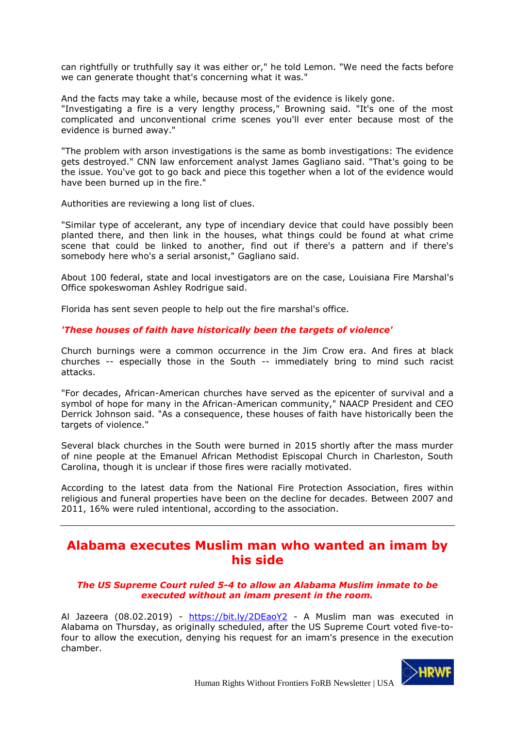can rightfully or truthfully say it was either or," he told Lemon. "We need the facts before we can generate thought that's concerning what it was."

And the facts may take a while, because most of the evidence is likely gone. "Investigating a fire is a very lengthy process," Browning said. "It's one of the most complicated and unconventional crime scenes you'll ever enter because most of the evidence is burned away."

"The problem with arson investigations is the same as bomb investigations: The evidence gets destroyed." CNN law enforcement analyst James Gagliano said. "That's going to be the issue. You've got to go back and piece this together when a lot of the evidence would have been burned up in the fire."

Authorities are reviewing a long list of clues.

"Similar type of accelerant, any type of incendiary device that could have possibly been planted there, and then link in the houses, what things could be found at what crime scene that could be linked to another, find out if there's a pattern and if there's somebody here who's a serial arsonist," Gagliano said.

About 100 federal, state and local investigators are on the case, Louisiana Fire Marshal's Office spokeswoman Ashley Rodrigue said.

Florida has sent seven people to help out the fire marshal's office.

### *'These houses of faith have historically been the targets of violence'*

Church burnings were a common occurrence in the Jim Crow era. And fires at black churches -- especially those in the South -- immediately bring to mind such racist attacks.

"For decades, African-American churches have served as the epicenter of survival and a symbol of hope for many in the African-American community," NAACP President and CEO Derrick Johnson said. "As a consequence, these houses of faith have historically been the targets of violence."

Several black churches in the South were burned in 2015 shortly after the mass murder of nine people at the Emanuel African Methodist Episcopal Church in Charleston, South Carolina, though it is unclear if those fires were racially motivated.

According to the latest data from the National Fire Protection Association, fires within religious and funeral properties have been on the decline for decades. Between 2007 and 2011, 16% were ruled intentional, according to the association.

## <span id="page-5-0"></span>**Alabama executes Muslim man who wanted an imam by his side**

#### *The US Supreme Court ruled 5-4 to allow an Alabama Muslim inmate to be executed without an imam present in the room.*

Al Jazeera (08.02.2019) - <https://bit.ly/2DEaoY2> - A Muslim man was executed in Alabama on Thursday, as originally scheduled, after the US Supreme Court voted five-tofour to allow the execution, denying his request for an imam's presence in the execution chamber.